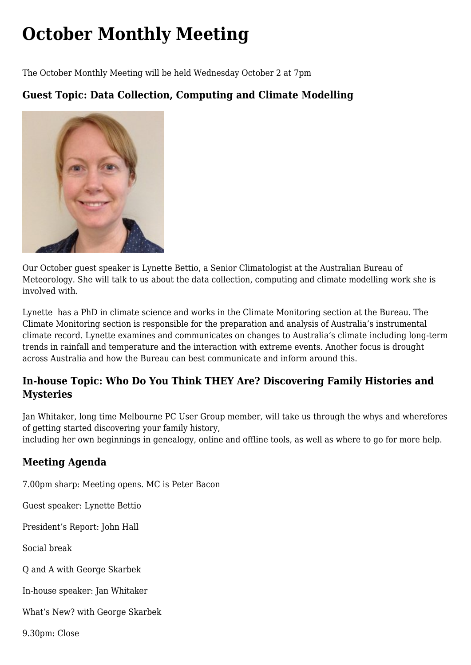## **[October Monthly Meeting](https://www.melbpc.org.au/october-monthly-meeting/)**

The October Monthly Meeting will be held Wednesday October 2 at 7pm

## **Guest Topic: Data Collection, Computing and Climate Modelling**



Our October guest speaker is Lynette Bettio, a Senior Climatologist at the Australian Bureau of Meteorology. She will talk to us about the data collection, computing and climate modelling work she is involved with.

Lynette has a PhD in climate science and works in the Climate Monitoring section at the Bureau. The Climate Monitoring section is responsible for the preparation and analysis of Australia's instrumental climate record. Lynette examines and communicates on changes to Australia's climate including long-term trends in rainfall and temperature and the interaction with extreme events. Another focus is drought across Australia and how the Bureau can best communicate and inform around this.

## **In-house Topic: Who Do You Think THEY Are? Discovering Family Histories and Mysteries**

Jan Whitaker, long time Melbourne PC User Group member, will take us through the whys and wherefores of getting started discovering your family history,

including her own beginnings in genealogy, online and offline tools, as well as where to go for more help.

## **Meeting Agenda**

7.00pm sharp: Meeting opens. MC is Peter Bacon

Guest speaker: Lynette Bettio

President's Report: John Hall

Social break

Q and A with George Skarbek

In-house speaker: Jan Whitaker

What's New? with George Skarbek

9.30pm: Close